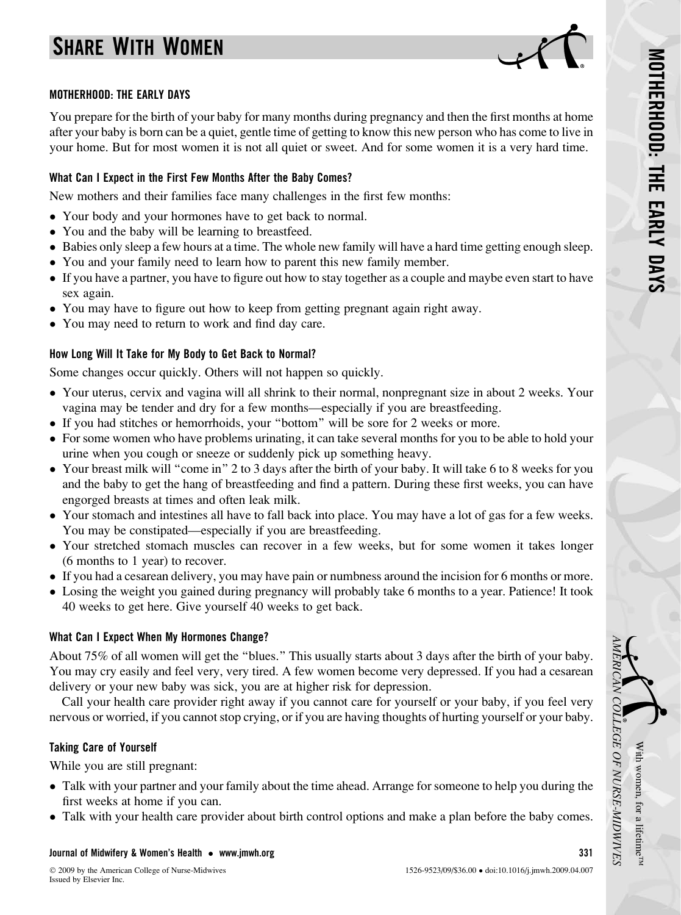# SHARE WITH WOMEN



### MOTHERHOOD: THE EARLY DAYS

You prepare for the birth of your baby for many months during pregnancy and then the first months at home after your baby is born can be a quiet, gentle time of getting to know this new person who has come to live in your home. But for most women it is not all quiet or sweet. And for some women it is a very hard time.

## What Can I Expect in the First Few Months After the Baby Comes?

New mothers and their families face many challenges in the first few months:

- Your body and your hormones have to get back to normal.
- You and the baby will be learning to breastfeed.
- Babies only sleep a few hours at a time. The whole new family will have a hard time getting enough sleep.
- You and your family need to learn how to parent this new family member.
- If you have a partner, you have to figure out how to stay together as a couple and maybe even start to have sex again.
- You may have to figure out how to keep from getting pregnant again right away.
- You may need to return to work and find day care.

# How Long Will It Take for My Body to Get Back to Normal?

Some changes occur quickly. Others will not happen so quickly.

- Your uterus, cervix and vagina will all shrink to their normal, nonpregnant size in about 2 weeks. Your vagina may be tender and dry for a few months—especially if you are breastfeeding.
- If you had stitches or hemorrhoids, your ''bottom'' will be sore for 2 weeks or more.
- For some women who have problems urinating, it can take several months for you to be able to hold your urine when you cough or sneeze or suddenly pick up something heavy.
- Your breast milk will "come in" 2 to 3 days after the birth of your baby. It will take 6 to 8 weeks for you and the baby to get the hang of breastfeeding and find a pattern. During these first weeks, you can have engorged breasts at times and often leak milk.
- Your stomach and intestines all have to fall back into place. You may have a lot of gas for a few weeks. You may be constipated—especially if you are breastfeeding.
- Your stretched stomach muscles can recover in a few weeks, but for some women it takes longer (6 months to 1 year) to recover.
- If you had a cesarean delivery, you may have pain or numbness around the incision for 6 months or more.
- Losing the weight you gained during pregnancy will probably take 6 months to a year. Patience! It took 40 weeks to get here. Give yourself 40 weeks to get back.

## What Can I Expect When My Hormones Change?

About 75% of all women will get the ''blues.'' This usually starts about 3 days after the birth of your baby. You may cry easily and feel very, very tired. A few women become very depressed. If you had a cesarean delivery or your new baby was sick, you are at higher risk for depression.

Call your health care provider right away if you cannot care for yourself or your baby, if you feel very nervous or worried, if you cannot stop crying, or if you are having thoughts of hurting yourself or your baby.

# Taking Care of Yourself

While you are still pregnant:

- Talk with your partner and your family about the time ahead. Arrange for someone to help you during the first weeks at home if you can.
- Talk with your health care provider about birth control options and make a plan before the baby comes.

### Journal of Midwifery & Women's Health - [www.jmwh.org](http://www.jmwh.org) 331

With

AMERICAN

COLLEGE

OF

NURSE-MIDWIVES

women,

for a lifetime